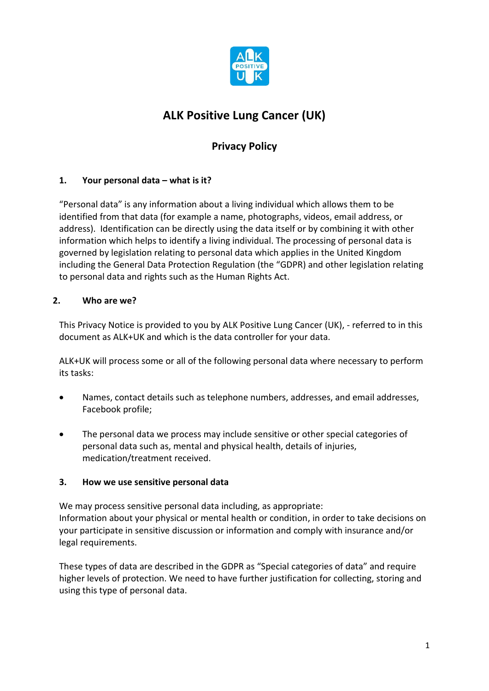

# **ALK Positive Lung Cancer (UK)**

## **Privacy Policy**

## **1. Your personal data – what is it?**

"Personal data" is any information about a living individual which allows them to be identified from that data (for example a name, photographs, videos, email address, or address). Identification can be directly using the data itself or by combining it with other information which helps to identify a living individual. The processing of personal data is governed by legislation relating to personal data which applies in the United Kingdom including the General Data Protection Regulation (the "GDPR) and other legislation relating to personal data and rights such as the Human Rights Act.

## **2. Who are we?**

This Privacy Notice is provided to you by ALK Positive Lung Cancer (UK), - referred to in this document as ALK+UK and which is the data controller for your data.

ALK+UK will process some or all of the following personal data where necessary to perform its tasks:

- Names, contact details such as telephone numbers, addresses, and email addresses, Facebook profile;
- The personal data we process may include sensitive or other special categories of personal data such as, mental and physical health, details of injuries, medication/treatment received.

## **3. How we use sensitive personal data**

We may process sensitive personal data including, as appropriate: Information about your physical or mental health or condition, in order to take decisions on your participate in sensitive discussion or information and comply with insurance and/or legal requirements.

These types of data are described in the GDPR as "Special categories of data" and require higher levels of protection. We need to have further justification for collecting, storing and using this type of personal data.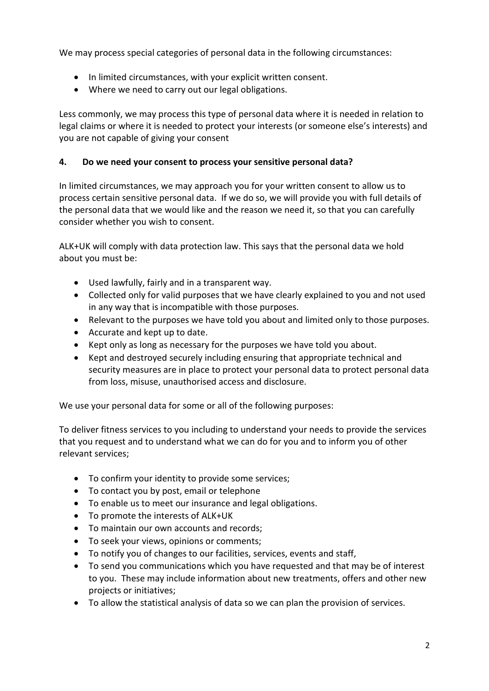We may process special categories of personal data in the following circumstances:

- In limited circumstances, with your explicit written consent.
- Where we need to carry out our legal obligations.

Less commonly, we may process this type of personal data where it is needed in relation to legal claims or where it is needed to protect your interests (or someone else's interests) and you are not capable of giving your consent

#### **4. Do we need your consent to process your sensitive personal data?**

In limited circumstances, we may approach you for your written consent to allow us to process certain sensitive personal data. If we do so, we will provide you with full details of the personal data that we would like and the reason we need it, so that you can carefully consider whether you wish to consent.

ALK+UK will comply with data protection law. This says that the personal data we hold about you must be:

- Used lawfully, fairly and in a transparent way.
- Collected only for valid purposes that we have clearly explained to you and not used in any way that is incompatible with those purposes.
- Relevant to the purposes we have told you about and limited only to those purposes.
- Accurate and kept up to date.
- Kept only as long as necessary for the purposes we have told you about.
- Kept and destroyed securely including ensuring that appropriate technical and security measures are in place to protect your personal data to protect personal data from loss, misuse, unauthorised access and disclosure.

We use your personal data for some or all of the following purposes:

To deliver fitness services to you including to understand your needs to provide the services that you request and to understand what we can do for you and to inform you of other relevant services;

- To confirm your identity to provide some services;
- To contact you by post, email or telephone
- To enable us to meet our insurance and legal obligations.
- To promote the interests of ALK+UK
- To maintain our own accounts and records;
- To seek your views, opinions or comments;
- To notify you of changes to our facilities, services, events and staff,
- To send you communications which you have requested and that may be of interest to you. These may include information about new treatments, offers and other new projects or initiatives;
- To allow the statistical analysis of data so we can plan the provision of services.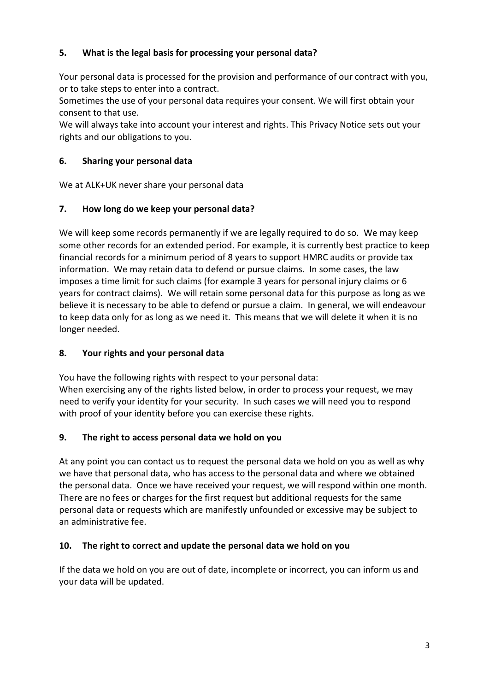## **5. What is the legal basis for processing your personal data?**

Your personal data is processed for the provision and performance of our contract with you, or to take steps to enter into a contract.

Sometimes the use of your personal data requires your consent. We will first obtain your consent to that use.

We will always take into account your interest and rights. This Privacy Notice sets out your rights and our obligations to you.

#### **6. Sharing your personal data**

We at ALK+UK never share your personal data

#### **7. How long do we keep your personal data?**

We will keep some records permanently if we are legally required to do so. We may keep some other records for an extended period. For example, it is currently best practice to keep financial records for a minimum period of 8 years to support HMRC audits or provide tax information. We may retain data to defend or pursue claims. In some cases, the law imposes a time limit for such claims (for example 3 years for personal injury claims or 6 years for contract claims). We will retain some personal data for this purpose as long as we believe it is necessary to be able to defend or pursue a claim. In general, we will endeavour to keep data only for as long as we need it. This means that we will delete it when it is no longer needed.

#### **8. Your rights and your personal data**

You have the following rights with respect to your personal data: When exercising any of the rights listed below, in order to process your request, we may need to verify your identity for your security. In such cases we will need you to respond with proof of your identity before you can exercise these rights.

#### **9. The right to access personal data we hold on you**

At any point you can contact us to request the personal data we hold on you as well as why we have that personal data, who has access to the personal data and where we obtained the personal data. Once we have received your request, we will respond within one month. There are no fees or charges for the first request but additional requests for the same personal data or requests which are manifestly unfounded or excessive may be subject to an administrative fee.

## **10. The right to correct and update the personal data we hold on you**

If the data we hold on you are out of date, incomplete or incorrect, you can inform us and your data will be updated.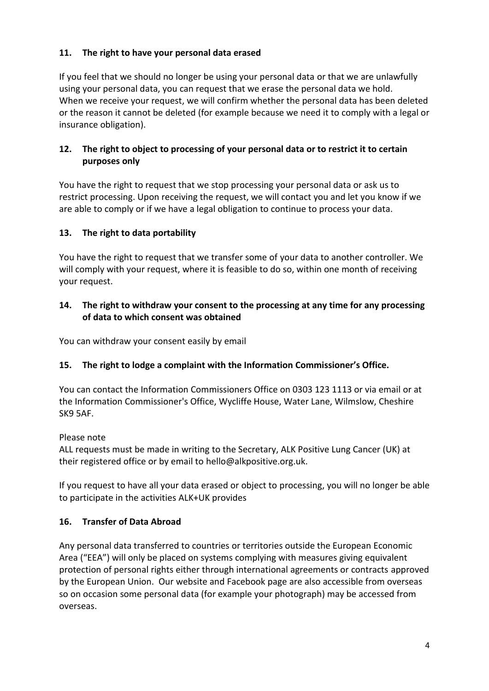## **11. The right to have your personal data erased**

If you feel that we should no longer be using your personal data or that we are unlawfully using your personal data, you can request that we erase the personal data we hold. When we receive your request, we will confirm whether the personal data has been deleted or the reason it cannot be deleted (for example because we need it to comply with a legal or insurance obligation).

## **12. The right to object to processing of your personal data or to restrict it to certain purposes only**

You have the right to request that we stop processing your personal data or ask us to restrict processing. Upon receiving the request, we will contact you and let you know if we are able to comply or if we have a legal obligation to continue to process your data.

## **13. The right to data portability**

You have the right to request that we transfer some of your data to another controller. We will comply with your request, where it is feasible to do so, within one month of receiving your request.

#### **14. The right to withdraw your consent to the processing at any time for any processing of data to which consent was obtained**

You can withdraw your consent easily by email

## **15. The right to lodge a complaint with the Information Commissioner's Office.**

You can contact the Information Commissioners Office on 0303 123 1113 or via email or at the Information Commissioner's Office, Wycliffe House, Water Lane, Wilmslow, Cheshire SK9 5AF.

#### Please note

ALL requests must be made in writing to the Secretary, ALK Positive Lung Cancer (UK) at their registered office or by email to [hello@alkpositive.org.uk.](mailto:hello@alkpositive.org.uk)

If you request to have all your data erased or object to processing, you will no longer be able to participate in the activities ALK+UK provides

## **16. Transfer of Data Abroad**

Any personal data transferred to countries or territories outside the European Economic Area ("EEA") will only be placed on systems complying with measures giving equivalent protection of personal rights either through international agreements or contracts approved by the European Union. Our website and Facebook page are also accessible from overseas so on occasion some personal data (for example your photograph) may be accessed from overseas.